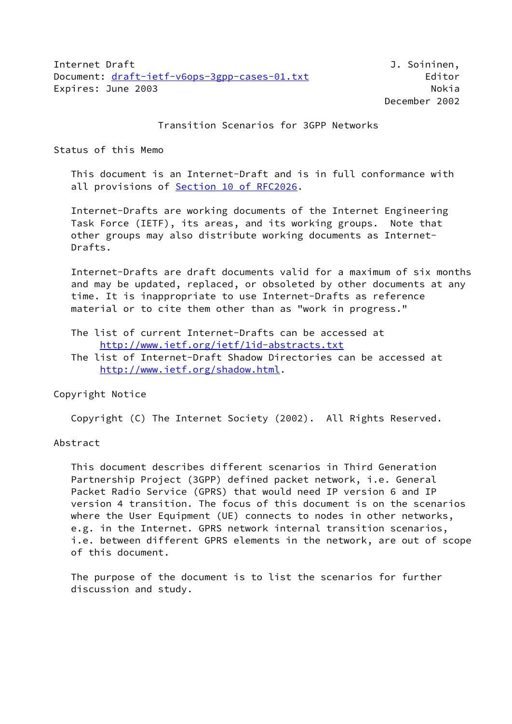Transition Scenarios for 3GPP Networks

Status of this Memo

 This document is an Internet-Draft and is in full conformance with all provisions of Section [10 of RFC2026.](https://datatracker.ietf.org/doc/pdf/rfc2026#section-10)

 Internet-Drafts are working documents of the Internet Engineering Task Force (IETF), its areas, and its working groups. Note that other groups may also distribute working documents as Internet- Drafts.

 Internet-Drafts are draft documents valid for a maximum of six months and may be updated, replaced, or obsoleted by other documents at any time. It is inappropriate to use Internet-Drafts as reference material or to cite them other than as "work in progress."

 The list of current Internet-Drafts can be accessed at <http://www.ietf.org/ietf/1id-abstracts.txt>

 The list of Internet-Draft Shadow Directories can be accessed at <http://www.ietf.org/shadow.html>.

Copyright Notice

Copyright (C) The Internet Society (2002). All Rights Reserved.

Abstract

 This document describes different scenarios in Third Generation Partnership Project (3GPP) defined packet network, i.e. General Packet Radio Service (GPRS) that would need IP version 6 and IP version 4 transition. The focus of this document is on the scenarios where the User Equipment (UE) connects to nodes in other networks, e.g. in the Internet. GPRS network internal transition scenarios, i.e. between different GPRS elements in the network, are out of scope of this document.

 The purpose of the document is to list the scenarios for further discussion and study.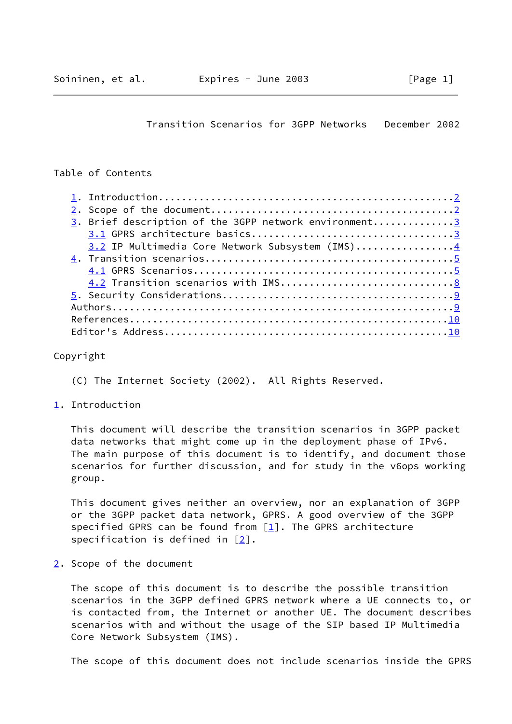Transition Scenarios for 3GPP Networks December 2002

# <span id="page-1-1"></span>Table of Contents

| 3. Brief description of the 3GPP network environment3 |  |
|-------------------------------------------------------|--|
|                                                       |  |
| 3.2 IP Multimedia Core Network Subsystem (IMS)4       |  |
|                                                       |  |
|                                                       |  |
|                                                       |  |
|                                                       |  |
|                                                       |  |
|                                                       |  |
|                                                       |  |
|                                                       |  |

#### Copyright

- (C) The Internet Society (2002). All Rights Reserved.
- <span id="page-1-0"></span>[1](#page-1-0). Introduction

 This document will describe the transition scenarios in 3GPP packet data networks that might come up in the deployment phase of IPv6. The main purpose of this document is to identify, and document those scenarios for further discussion, and for study in the v6ops working group.

 This document gives neither an overview, nor an explanation of 3GPP or the 3GPP packet data network, GPRS. A good overview of the 3GPP specified GPRS can be found from  $[1]$ . The GPRS architecture specification is defined in  $[2]$  $[2]$ .

<span id="page-1-2"></span>[2](#page-1-2). Scope of the document

 The scope of this document is to describe the possible transition scenarios in the 3GPP defined GPRS network where a UE connects to, or is contacted from, the Internet or another UE. The document describes scenarios with and without the usage of the SIP based IP Multimedia Core Network Subsystem (IMS).

The scope of this document does not include scenarios inside the GPRS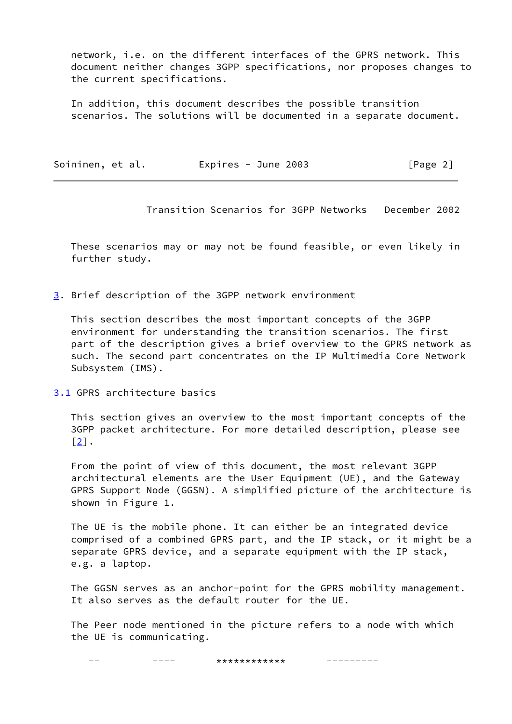network, i.e. on the different interfaces of the GPRS network. This document neither changes 3GPP specifications, nor proposes changes to the current specifications.

 In addition, this document describes the possible transition scenarios. The solutions will be documented in a separate document.

<span id="page-2-1"></span>

| Soininen, et al. | Expires - June $2003$ | [Page 2] |
|------------------|-----------------------|----------|
|------------------|-----------------------|----------|

Transition Scenarios for 3GPP Networks December 2002

 These scenarios may or may not be found feasible, or even likely in further study.

<span id="page-2-0"></span>[3](#page-2-0). Brief description of the 3GPP network environment

 This section describes the most important concepts of the 3GPP environment for understanding the transition scenarios. The first part of the description gives a brief overview to the GPRS network as such. The second part concentrates on the IP Multimedia Core Network Subsystem (IMS).

<span id="page-2-2"></span>[3.1](#page-2-2) GPRS architecture basics

 This section gives an overview to the most important concepts of the 3GPP packet architecture. For more detailed description, please see  $\lceil 2 \rceil$ .

 From the point of view of this document, the most relevant 3GPP architectural elements are the User Equipment (UE), and the Gateway GPRS Support Node (GGSN). A simplified picture of the architecture is shown in Figure 1.

 The UE is the mobile phone. It can either be an integrated device comprised of a combined GPRS part, and the IP stack, or it might be a separate GPRS device, and a separate equipment with the IP stack, e.g. a laptop.

 The GGSN serves as an anchor-point for the GPRS mobility management. It also serves as the default router for the UE.

 The Peer node mentioned in the picture refers to a node with which the UE is communicating.

---- \*\*\*\*\*\*\*\*\*\*\*\*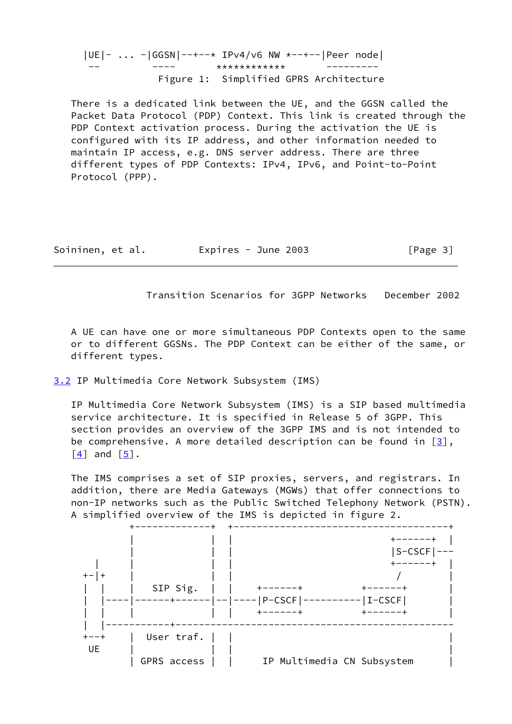|UE|- ... -|GGSN|--+--\* IPv4/v6 NW \*--+--|Peer node| -- ---- \*\*\*\*\*\*\*\*\*\*\*\* --------- Figure 1: Simplified GPRS Architecture

 There is a dedicated link between the UE, and the GGSN called the Packet Data Protocol (PDP) Context. This link is created through the PDP Context activation process. During the activation the UE is configured with its IP address, and other information needed to maintain IP access, e.g. DNS server address. There are three different types of PDP Contexts: IPv4, IPv6, and Point-to-Point Protocol (PPP).

<span id="page-3-1"></span>Soininen, et al. Expires - June 2003 [Page 3]

Transition Scenarios for 3GPP Networks December 2002

 A UE can have one or more simultaneous PDP Contexts open to the same or to different GGSNs. The PDP Context can be either of the same, or different types.

## <span id="page-3-0"></span>[3.2](#page-3-0) IP Multimedia Core Network Subsystem (IMS)

 IP Multimedia Core Network Subsystem (IMS) is a SIP based multimedia service architecture. It is specified in Release 5 of 3GPP. This section provides an overview of the 3GPP IMS and is not intended to be comprehensive. A more detailed description can be found in  $[3]$  $[3]$ ,  $\lceil 4 \rceil$  and  $\lceil 5 \rceil$ .

 The IMS comprises a set of SIP proxies, servers, and registrars. In addition, there are Media Gateways (MGWs) that offer connections to non-IP networks such as the Public Switched Telephony Network (PSTN). A simplified overview of the IMS is depicted in figure 2.

|           |             |                            | $S-CSCF$   |
|-----------|-------------|----------------------------|------------|
|           |             |                            |            |
| $+ - +$   |             |                            |            |
|           | SIP Sig.    | .                          |            |
|           |             | $--- $ ----   P-CSCF       | $ I-CSCF $ |
|           |             | +------+                   | -----+     |
|           | --+-        |                            |            |
| $+ - - +$ | User traf.  |                            |            |
| UE        |             |                            |            |
|           | GPRS access | IP Multimedia CN Subsystem |            |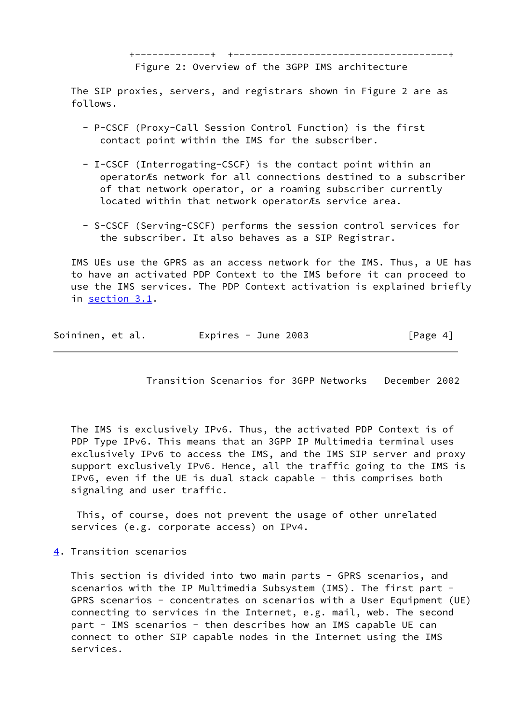Figure 2: Overview of the 3GPP IMS architecture

 The SIP proxies, servers, and registrars shown in Figure 2 are as follows.

- P-CSCF (Proxy-Call Session Control Function) is the first contact point within the IMS for the subscriber.
- I-CSCF (Interrogating-CSCF) is the contact point within an operatorÆs network for all connections destined to a subscriber of that network operator, or a roaming subscriber currently located within that network operatorÆs service area.
- S-CSCF (Serving-CSCF) performs the session control services for the subscriber. It also behaves as a SIP Registrar.

 IMS UEs use the GPRS as an access network for the IMS. Thus, a UE has to have an activated PDP Context to the IMS before it can proceed to use the IMS services. The PDP Context activation is explained briefly in [section 3.1](#page-2-2).

<span id="page-4-1"></span>

| Soininen, et al. | Expires - June $2003$ | [Page 4] |
|------------------|-----------------------|----------|
|------------------|-----------------------|----------|

Transition Scenarios for 3GPP Networks December 2002

 The IMS is exclusively IPv6. Thus, the activated PDP Context is of PDP Type IPv6. This means that an 3GPP IP Multimedia terminal uses exclusively IPv6 to access the IMS, and the IMS SIP server and proxy support exclusively IPv6. Hence, all the traffic going to the IMS is IPv6, even if the UE is dual stack capable - this comprises both signaling and user traffic.

 This, of course, does not prevent the usage of other unrelated services (e.g. corporate access) on IPv4.

<span id="page-4-0"></span>[4](#page-4-0). Transition scenarios

 This section is divided into two main parts - GPRS scenarios, and scenarios with the IP Multimedia Subsystem (IMS). The first part - GPRS scenarios - concentrates on scenarios with a User Equipment (UE) connecting to services in the Internet, e.g. mail, web. The second part - IMS scenarios - then describes how an IMS capable UE can connect to other SIP capable nodes in the Internet using the IMS services.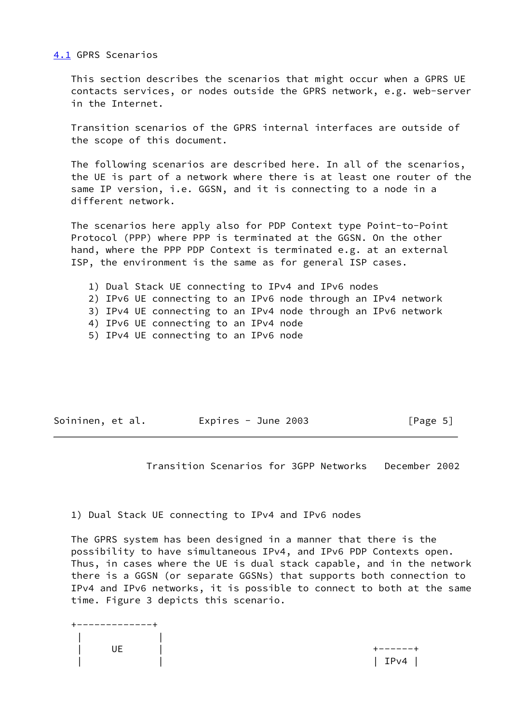### <span id="page-5-0"></span>[4.1](#page-5-0) GPRS Scenarios

 This section describes the scenarios that might occur when a GPRS UE contacts services, or nodes outside the GPRS network, e.g. web-server in the Internet.

 Transition scenarios of the GPRS internal interfaces are outside of the scope of this document.

 The following scenarios are described here. In all of the scenarios, the UE is part of a network where there is at least one router of the same IP version, i.e. GGSN, and it is connecting to a node in a different network.

 The scenarios here apply also for PDP Context type Point-to-Point Protocol (PPP) where PPP is terminated at the GGSN. On the other hand, where the PPP PDP Context is terminated e.g. at an external ISP, the environment is the same as for general ISP cases.

- 1) Dual Stack UE connecting to IPv4 and IPv6 nodes 2) IPv6 UE connecting to an IPv6 node through an IPv4 network 3) IPv4 UE connecting to an IPv4 node through an IPv6 network 4) IPv6 UE connecting to an IPv4 node
- 5) IPv4 UE connecting to an IPv6 node

| Soininen, et al.<br>Expires - June $2003$ | [Page 5] |
|-------------------------------------------|----------|
|-------------------------------------------|----------|

Transition Scenarios for 3GPP Networks December 2002

1) Dual Stack UE connecting to IPv4 and IPv6 nodes

 The GPRS system has been designed in a manner that there is the possibility to have simultaneous IPv4, and IPv6 PDP Contexts open. Thus, in cases where the UE is dual stack capable, and in the network there is a GGSN (or separate GGSNs) that supports both connection to IPv4 and IPv6 networks, it is possible to connect to both at the same time. Figure 3 depicts this scenario.

 +-------------+ | |  $\overline{U}$   $\overline{E}$   $\overline{U}$   $\overline{U}$   $\overline{U}$   $\overline{U}$   $\overline{U}$   $\overline{U}$   $\overline{U}$   $\overline{U}$   $\overline{U}$   $\overline{U}$   $\overline{U}$   $\overline{U}$   $\overline{U}$   $\overline{U}$   $\overline{U}$   $\overline{U}$   $\overline{U}$   $\overline{U}$   $\overline{U}$   $\overline{U}$   $\overline{U}$   $\overline{U}$   $\overline{$  $|$  IPv4  $|$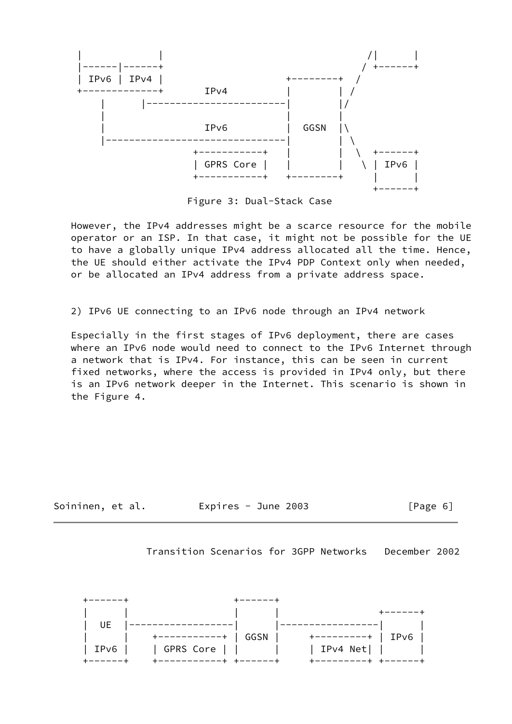

Figure 3: Dual-Stack Case

 However, the IPv4 addresses might be a scarce resource for the mobile operator or an ISP. In that case, it might not be possible for the UE to have a globally unique IPv4 address allocated all the time. Hence, the UE should either activate the IPv4 PDP Context only when needed, or be allocated an IPv4 address from a private address space.

2) IPv6 UE connecting to an IPv6 node through an IPv4 network

 Especially in the first stages of IPv6 deployment, there are cases where an IPv6 node would need to connect to the IPv6 Internet through a network that is IPv4. For instance, this can be seen in current fixed networks, where the access is provided in IPv4 only, but there is an IPv6 network deeper in the Internet. This scenario is shown in the Figure 4.



Transition Scenarios for 3GPP Networks December 2002

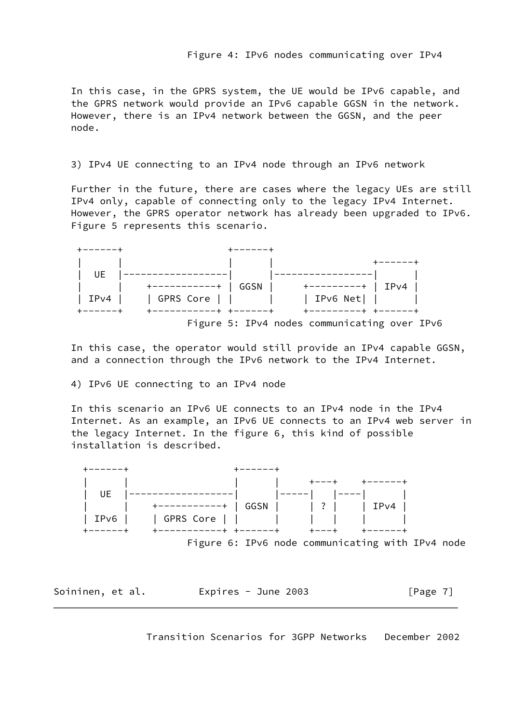In this case, in the GPRS system, the UE would be IPv6 capable, and the GPRS network would provide an IPv6 capable GGSN in the network. However, there is an IPv4 network between the GGSN, and the peer node.

## 3) IPv4 UE connecting to an IPv4 node through an IPv6 network

 Further in the future, there are cases where the legacy UEs are still IPv4 only, capable of connecting only to the legacy IPv4 Internet. However, the GPRS operator network has already been upgraded to IPv6. Figure 5 represents this scenario.



 In this case, the operator would still provide an IPv4 capable GGSN, and a connection through the IPv6 network to the IPv4 Internet.

4) IPv6 UE connecting to an IPv4 node

 In this scenario an IPv6 UE connects to an IPv4 node in the IPv4 Internet. As an example, an IPv6 UE connects to an IPv4 web server in the legacy Internet. In the figure 6, this kind of possible installation is described.



Figure 6: IPv6 node communicating with IPv4 node

<span id="page-7-0"></span>

| Soininen, et al. | Expires - June 2003 | [Page 7] |
|------------------|---------------------|----------|
|------------------|---------------------|----------|

Transition Scenarios for 3GPP Networks December 2002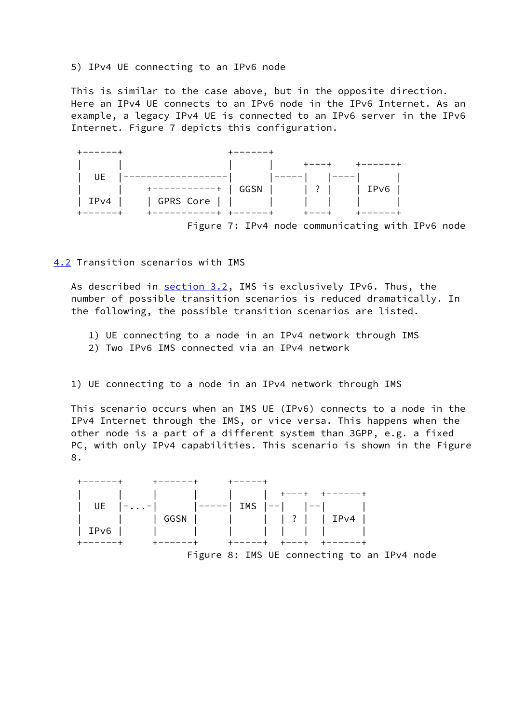## 5) IPv4 UE connecting to an IPv6 node

 This is similar to the case above, but in the opposite direction. Here an IPv4 UE connects to an IPv6 node in the IPv6 Internet. As an example, a legacy IPv4 UE is connected to an IPv6 server in the IPv6 Internet. Figure 7 depicts this configuration.



<span id="page-8-0"></span>[4.2](#page-8-0) Transition scenarios with IMS

As described in [section 3.2](#page-3-0), IMS is exclusively IPv6. Thus, the number of possible transition scenarios is reduced dramatically. In the following, the possible transition scenarios are listed.

- 1) UE connecting to a node in an IPv4 network through IMS
- 2) Two IPv6 IMS connected via an IPv4 network

1) UE connecting to a node in an IPv4 network through IMS

 This scenario occurs when an IMS UE (IPv6) connects to a node in the IPv4 Internet through the IMS, or vice versa. This happens when the other node is a part of a different system than 3GPP, e.g. a fixed PC, with only IPv4 capabilities. This scenario is shown in the Figure 8.

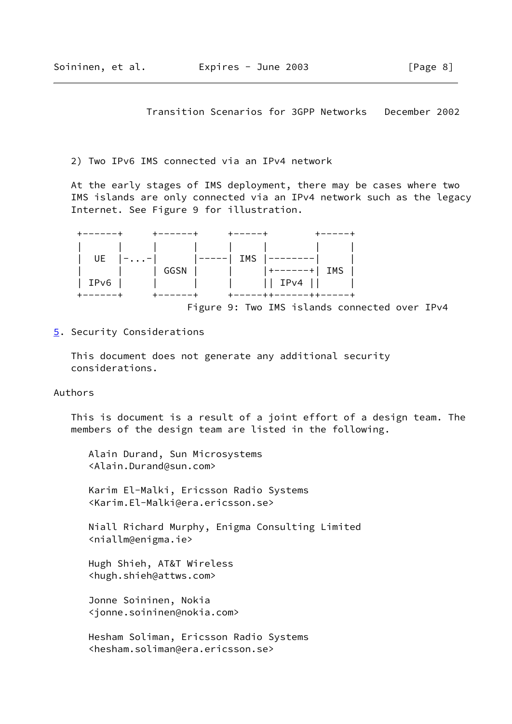Transition Scenarios for 3GPP Networks December 2002

<span id="page-9-1"></span>2) Two IPv6 IMS connected via an IPv4 network

 At the early stages of IMS deployment, there may be cases where two IMS islands are only connected via an IPv4 network such as the legacy Internet. See Figure 9 for illustration.

| +------+     | $+ - - - - - +$ | +-----+                           | +------                |
|--------------|-----------------|-----------------------------------|------------------------|
|              |                 |                                   |                        |
|              |                 | UE $ -- $ $ ----- $ IMS $ ----- $ |                        |
|              |                 | GGSN        +------+  IMS         |                        |
| $ $ IPv6 $ $ |                 | IPv4                              |                        |
| +------+     | ------+         |                                   | +-----++------++-----+ |

Figure 9: Two IMS islands connected over IPv4

<span id="page-9-0"></span>[5](#page-9-0). Security Considerations

 This document does not generate any additional security considerations.

Authors

 This is document is a result of a joint effort of a design team. The members of the design team are listed in the following.

 Alain Durand, Sun Microsystems <Alain.Durand@sun.com>

 Karim El-Malki, Ericsson Radio Systems <Karim.El-Malki@era.ericsson.se>

 Niall Richard Murphy, Enigma Consulting Limited <niallm@enigma.ie>

 Hugh Shieh, AT&T Wireless <hugh.shieh@attws.com>

 Jonne Soininen, Nokia <jonne.soininen@nokia.com>

 Hesham Soliman, Ericsson Radio Systems <hesham.soliman@era.ericsson.se>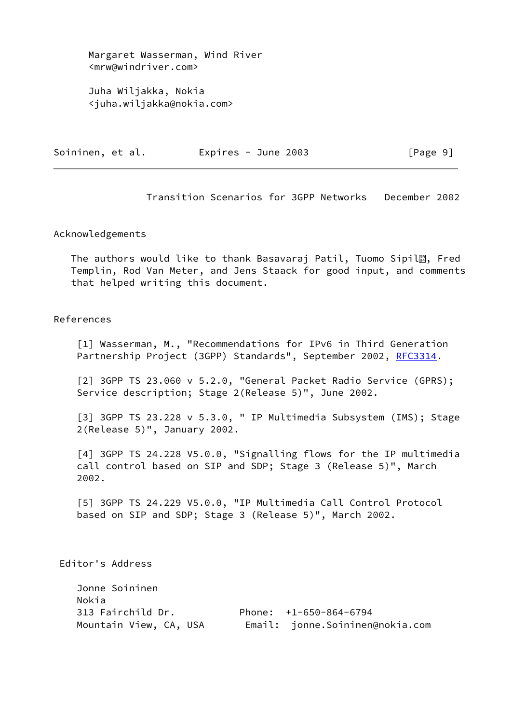Margaret Wasserman, Wind River <mrw@windriver.com>

 Juha Wiljakka, Nokia <juha.wiljakka@nokia.com>

<span id="page-10-0"></span>

| Soininen, et al.<br>Expires - June 2003 |  |  |  |
|-----------------------------------------|--|--|--|
|-----------------------------------------|--|--|--|

 $[Page 9]$ 

Transition Scenarios for 3GPP Networks December 2002

#### Acknowledgements

The authors would like to thank Basavaraj Patil, Tuomo Sipil<sup>2</sup>, Fred Templin, Rod Van Meter, and Jens Staack for good input, and comments that helped writing this document.

### References

<span id="page-10-1"></span>[1] Wasserman, M., "Recommendations for IPv6 in Third Generation Partnership Project (3GPP) Standards", September 2002, [RFC3314](https://datatracker.ietf.org/doc/pdf/rfc3314).

<span id="page-10-2"></span> [2] 3GPP TS 23.060 v 5.2.0, "General Packet Radio Service (GPRS); Service description; Stage 2(Release 5)", June 2002.

<span id="page-10-3"></span> [3] 3GPP TS 23.228 v 5.3.0, " IP Multimedia Subsystem (IMS); Stage 2(Release 5)", January 2002.

<span id="page-10-4"></span> [4] 3GPP TS 24.228 V5.0.0, "Signalling flows for the IP multimedia call control based on SIP and SDP; Stage 3 (Release 5)", March 2002.

<span id="page-10-5"></span> [5] 3GPP TS 24.229 V5.0.0, "IP Multimedia Call Control Protocol based on SIP and SDP; Stage 3 (Release 5)", March 2002.

Editor's Address

 Jonne Soininen Nokia 313 Fairchild Dr. Phone: +1-650-864-6794 Mountain View, CA, USA Email: jonne.Soininen@nokia.com